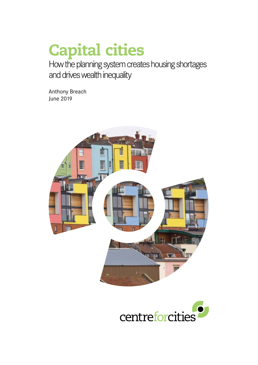# Capital cities

How the planning system creates housing shortages and drives wealth inequality

Anthony Breach June 2019



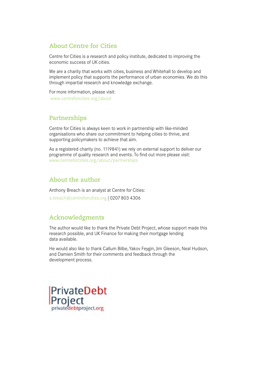# **About Centre for Cities**

Centre for Cities is a research and policy institute, dedicated to improving the economic success of UK cities.

We are a charity that works with cities, business and Whitehall to develop and implement policy that supports the performance of urban economies. We do this through impartial research and knowledge exchange.

For more information, please visit: www.centreforcities.org/about

#### **Partnerships**

Centre for Cities is always keen to work in partnership with like-minded organisations who share our commitment to helping cities to thrive, and supporting policymakers to achieve that aim.

As a registered charity (no. 1119841) we rely on external support to deliver our programme of quality research and events. To find out more please visit: www.centreforcities.org/about/partnerships

# **About the author**

Anthony Breach is an analyst at Centre for Cities: a.breach@centreforcities.org | 0207 803 4306

# **Acknowledgments**

The author would like to thank the Private Debt Project, whose support made this research possible, and UK Finance for making their mortgage lending data available.

He would also like to thank Callum Bilbe, Yakov Feygin, Jim Gleeson, Neal Hudson, and Damien Smith for their comments and feedback through the development process.

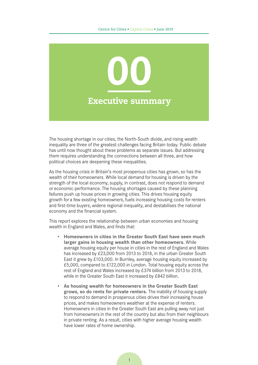

The housing shortage in our cities, the North-South divide, and rising wealth inequality are three of the greatest challenges facing Britain today. Public debate has until now thought about these problems as separate issues. But addressing them requires understanding the connections between all three, and how political choices are deepening these inequalities.

As the housing crisis in Britain's most prosperous cities has grown, so has the wealth of their homeowners. While local demand for housing is driven by the strength of the local economy, supply, in contrast, does not respond to demand or economic performance. The housing shortages caused by these planning failures push up house prices in growing cities. This drives housing equity growth for a few existing homeowners, fuels increasing housing costs for renters and first-time buyers, widens regional inequality, and destabilises the national economy and the financial system.

This report explores the relationship between urban economies and housing wealth in England and Wales, and finds that:

- **• Homeowners in cities in the Greater South East have seen much larger gains in housing wealth than other homeowners.** While average housing equity per house in cities in the rest of England and Wales has increased by £23,000 from 2013 to 2018, in the urban Greater South East it grew by £103,000. In Burnley, average housing equity increased by £5,000, compared to £122,000 in London. Total housing equity across the rest of England and Wales increased by £374 billion from 2013 to 2018, while in the Greater South East it increased by £842 billion.
- **• As housing wealth for homeowners in the Greater South East grows, so do rents for private renters.** The inability of housing supply to respond to demand in prosperous cities drives their increasing house prices, and makes homeowners wealthier at the expense of renters. Homeowners in cities in the Greater South East are pulling away not just from homeowners in the rest of the country but also from their neighbours in private renting. As a result, cities with higher average housing wealth have lower rates of home ownership.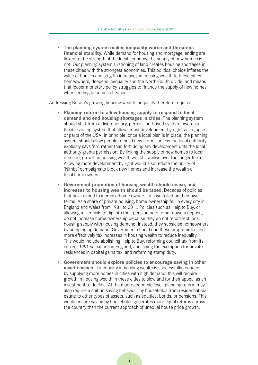**• The planning system makes inequality worse and threatens financial stability.** While demand for housing and mortgage lending are linked to the strength of the local economy, the supply of new homes is not. Our planning system's rationing of land creates housing shortages in these cities with the strongest economies. This political choice inflates the value of houses and so gifts increases in housing wealth to these cities' homeowners, deepens inequality and the North-South divide, and means that looser monetary policy struggles to finance the supply of new homes when lending becomes cheaper.

Addressing Britain's growing housing wealth inequality therefore requires:

- **• Planning reform to allow housing supply to respond to local demand and end housing shortages in cities.** The planning system should shift from a discretionary, permission-based system towards a flexible zoning system that allows most development by right, as in Japan or parts of the USA. In principle, once a local plan is in place, the planning system should allow people to build new homes unless the local authority explicitly says 'no', rather than forbidding any development until the local authority grants permission. By linking the supply of new homes to local demand, growth in housing wealth would stabilise over the longer term. Allowing more development by right would also reduce the ability of 'Nimby' campaigns to block new homes and increase the wealth of local homeowners.
- **• Government promotion of housing wealth should cease, and increases to housing wealth should be taxed.** Decades of policies that have aimed to increase home ownership have failed on their own terms. As a share of private housing, home ownership fell in every city in England and Wales from 1981 to 2011. Policies such as Help to Buy, or allowing millennials to dip into their pension pots to put down a deposit, do not increase home ownership because they do not reconnect local housing supply with housing demand. Instead, they subsidise homeowners by pumping up demand. Government should end these programmes and more effectively tax increases in housing wealth to reduce inequality. This would include abolishing Help to Buy, reforming council tax from its current 1991 valuations in England, abolishing the exemption for private residences in capital gains tax, and reforming stamp duty.
- **• Government should explore policies to encourage saving in other asset classes.** If inequality in housing wealth is successfully reduced by supplying more homes in cities with high demand, this will require growth in housing wealth in these cities to slow and for their appeal as an investment to decline. At the macroeconomic level, planning reform may also require a shift in saving behaviour by households from residential real estate to other types of assets, such as equities, bonds, or pensions. This would ensure saving by households generates more equal returns across the country than the current approach of unequal house price growth.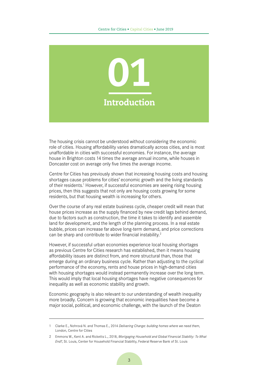

The housing crisis cannot be understood without considering the economic role of cities. Housing affordability varies dramatically across cities, and is most unaffordable in cities with successful economies. For instance, the average house in Brighton costs 14 times the average annual income, while houses in Doncaster cost on average only five times the average income.

Centre for Cities has previously shown that increasing housing costs and housing shortages cause problems for cities' economic growth and the living standards of their residents.<sup>1</sup> However, if successful economies are seeing rising housing prices, then this suggests that not only are housing costs growing for some residents, but that housing wealth is increasing for others.

Over the course of any real estate business cycle, cheaper credit will mean that house prices increase as the supply financed by new credit lags behind demand, due to factors such as construction, the time it takes to identify and assemble land for development, and the length of the planning process. In a real estate bubble, prices can increase far above long-term demand, and price corrections can be sharp and contribute to wider financial instability.<sup>2</sup>

However, if successful urban economies experience local housing shortages as previous Centre for Cities research has established, then it means housing affordability issues are distinct from, and more structural than, those that emerge during an ordinary business cycle. Rather than adjusting to the cyclical performance of the economy, rents and house prices in high-demand cities with housing shortages would instead permanently increase over the long term. This would imply that local housing shortages have negative consequences for inequality as well as economic stability and growth.

Economic geography is also relevant to our understanding of wealth inequality more broadly. Concern is growing that economic inequalities have become a major social, political, and economic challenge, with the launch of the Deaton

<sup>1</sup> Clarke E., Nohrová N. and Thomas E., 2014 *Delivering Change: building homes where we need them*, London, Centre for Cities

<sup>2</sup> Emmons W., Kent A. and Ricketts L., 2018, *Mortgaging Household and Global Financial Stability: To What End?*, St. Louis, Center for Household Financial Stability, Federal Reserve Bank of St. Louis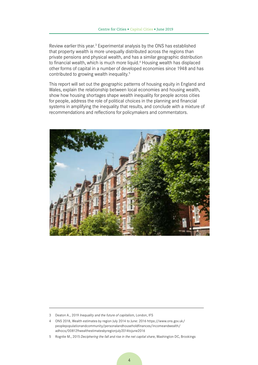Review earlier this year.<sup>3</sup> Experimental analysis by the ONS has established that property wealth is more unequally distributed across the regions than private pensions and physical wealth, and has a similar geographic distribution to financial wealth, which is much more liquid.<sup>4</sup> Housing wealth has displaced other forms of capital in a number of developed economies since 1948 and has contributed to growing wealth inequality.<sup>5</sup>

This report will set out the geographic patterns of housing equity in England and Wales, explain the relationship between local economies and housing wealth, show how housing shortages shape wealth inequality for people across cities for people, address the role of political choices in the planning and financial systems in amplifying the inequality that results, and conclude with a mixture of recommendations and reflections for policymakers and commentators.



<sup>3</sup> Deaton A., 2019 *Inequality and the future of capitalism*, London, IFS

<sup>4</sup> ONS 2018, Wealth estimates by region July 2014 to June: 2016 [https://www.ons.gov.uk/](https://www.ons.gov.uk/peoplepopulationandcommunity/personalandhouseholdfinances/incomeandwealth/adhocs/008129wealthestimatesbyregionjuly2014tojune2016) [peoplepopulationandcommunity/personalandhouseholdfinances/incomeandwealth/](https://www.ons.gov.uk/peoplepopulationandcommunity/personalandhouseholdfinances/incomeandwealth/adhocs/008129wealthestimatesbyregionjuly2014tojune2016) [adhocs/008129wealthestimatesbyregionjuly2014tojune2016](https://www.ons.gov.uk/peoplepopulationandcommunity/personalandhouseholdfinances/incomeandwealth/adhocs/008129wealthestimatesbyregionjuly2014tojune2016)

<sup>5</sup> Rognlie M., 2015 *Deciphering the fall and rise in the net capital share*, Washington DC, Brookings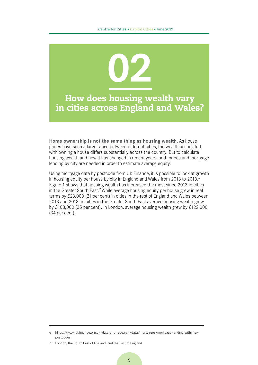

**Home ownership is not the same thing as housing wealth**. As house prices have such a large range between different cities, the wealth associated with owning a house differs substantially across the country. But to calculate housing wealth and how it has changed in recent years, both prices and mortgage lending by city are needed in order to estimate average equity.

Using mortgage data by postcode from UK Finance, it is possible to look at growth in housing equity per house by city in England and Wales from 2013 to 2018.<sup>6</sup> [Figure 1](#page-7-0) shows that housing wealth has increased the most since 2013 in cities in the Greater South East.<sup>7</sup> While average housing equity per house grew in real terms by £23,000 (21 per cent) in cities in the rest of England and Wales between 2013 and 2018, in cities in the Greater South East average housing wealth grew by £103,000 (35 per cent). In London, average housing wealth grew by £122,000 (34 per cent).

<sup>6</sup> [https://www.ukfinance.org.uk/data-and-research/data/mortgages/mortgage-lending-within-uk](https://www.ukfinance.org.uk/data-and-research/data/mortgages/mortgage-lending-within-uk-postcodes)[postcodes](https://www.ukfinance.org.uk/data-and-research/data/mortgages/mortgage-lending-within-uk-postcodes)

<sup>7</sup> London, the South East of England, and the East of England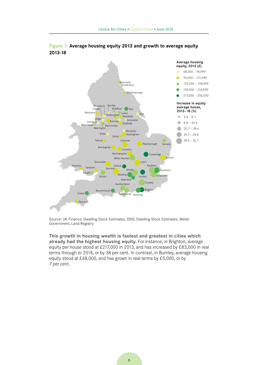

<span id="page-7-0"></span>

Source: UK Finance; Dwelling Stock Estimates, ONS; Dwelling Stock Estimates, Welsh Government; Land Registry

**This growth in housing wealth is fastest and greatest in cities which already had the highest housing equity.** For instance, in Brighton, average equity per house stood at £217,000 in 2013, and has increased by £83,000 in real terms through to 2018, or by 38 per cent. In contrast, in Burnley, average housing equity stood at  $£68,000$ , and has grown in real terms by  $£5,000$ , or by 7 per cent.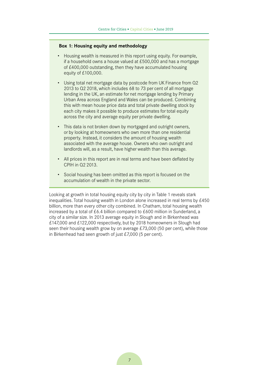#### **Box 1: Housing equity and methodology**

- Housing wealth is measured in this report using equity. For example, if a household owns a house valued at £500,000 and has a mortgage of £400,000 outstanding, then they have accumulated housing equity of £100,000.
- Using total net mortgage data by postcode from UK Finance from Q2 2013 to Q2 2018, which includes 68 to 73 per cent of all mortgage lending in the UK, an estimate for net mortgage lending by Primary Urban Area across England and Wales can be produced. Combining this with mean house price data and total private dwelling stock by each city makes it possible to produce estimates for total equity across the city and average equity per private dwelling.
- This data is not broken down by mortgaged and outright owners, or by looking at homeowners who own more than one residential property. Instead, it considers the amount of housing wealth associated with the average house. Owners who own outright and landlords will, as a result, have higher wealth than this average.
- All prices in this report are in real terms and have been deflated by CPIH in Q2 2013.
- Social housing has been omitted as this report is focused on the accumulation of wealth in the private sector.

Looking at growth in total housing equity city by city in [Table 1](#page-9-0) reveals stark inequalities. Total housing wealth in London alone increased in real terms by £450 billion, more than every other city combined. In Chatham, total housing wealth increased by a total of £6.4 billion compared to £600 million in Sunderland, a city of a similar size. In 2013 average equity in Slough and in Birkenhead was £147,000 and £122,000 respectively, but by 2018 homeowners in Slough had seen their housing wealth grow by on average £73,000 (50 per cent), while those in Birkenhead had seen growth of just £7,000 (5 per cent).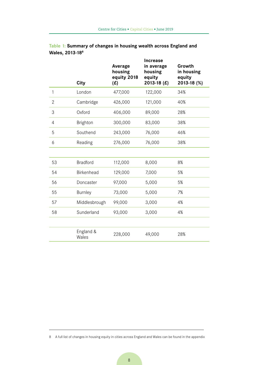|                | City               | Average<br>housing<br>equity 2018<br>(E) | <b>Increase</b><br>in average<br>housing<br>equity<br>2013-18 $(E)$ | Growth<br>in housing<br>equity<br>2013-18 (%) |
|----------------|--------------------|------------------------------------------|---------------------------------------------------------------------|-----------------------------------------------|
| $\mathbf{1}$   | London             | 477,000                                  | 122,000                                                             | 34%                                           |
| $\overline{2}$ | Cambridge          | 426,000                                  | 121,000                                                             | 40%                                           |
| 3              | Oxford             | 406,000                                  | 89,000                                                              | 28%                                           |
| $\overline{4}$ | <b>Brighton</b>    | 300,000                                  | 83,000                                                              | 38%                                           |
| 5              | Southend           | 243,000                                  | 76,000                                                              | 46%                                           |
| 6              | Reading            | 276,000                                  | 76,000                                                              | 38%                                           |
|                |                    |                                          |                                                                     |                                               |
| 53             | <b>Bradford</b>    | 112,000                                  | 8,000                                                               | 8%                                            |
| 54             | Birkenhead         | 129,000                                  | 7,000                                                               | 5%                                            |
| 56             | Doncaster          | 97,000                                   | 5,000                                                               | 5%                                            |
| 55             | <b>Burnley</b>     | 73,000                                   | 5,000                                                               | 7%                                            |
| 57             | Middlesbrough      | 99,000                                   | 3,000                                                               | 4%                                            |
| 58             | Sunderland         | 93,000                                   | 3,000                                                               | 4%                                            |
|                |                    |                                          |                                                                     |                                               |
|                | England &<br>Wales | 228,000                                  | 49,000                                                              | 28%                                           |

#### <span id="page-9-0"></span>**Table 1: Summary of changes in housing wealth across England and Wales, 2013-188**

8 A full list of changes in housing equity in cities across England and Wales can be found in the appendix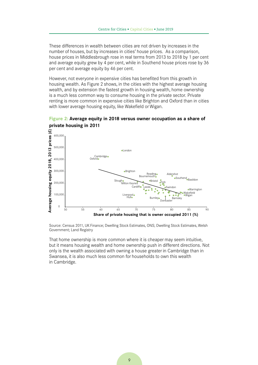These differences in wealth between cities are not driven by increases in the number of houses, but by increases in cities' house prices. As a comparison, house prices in Middlesbrough rose in real terms from 2013 to 2018 by 1 per cent and average equity grew by 4 per cent, while in Southend house prices rose by 36 per cent and average equity by 46 per cent.

However, not everyone in expensive cities has benefited from this growth in housing wealth. As [Figure 2](#page-10-0) shows, in the cities with the highest average housing wealth, and by extension the fastest growth in housing wealth, home ownership is a much less common way to consume housing in the private sector. Private renting is more common in expensive cities like Brighton and Oxford than in cities with lower average housing equity, like Wakefield or Wigan.



<span id="page-10-0"></span>

Source: Census 2011, UK Finance; Dwelling Stock Estimates, ONS; Dwelling Stock Estimates, Welsh Government; Land Registry

That home ownership is more common where it is cheaper may seem intuitive, but it means housing wealth and home ownership push in different directions. Not only is the wealth associated with owning a house greater in Cambridge than in Swansea, it is also much less common for households to own this wealth in Cambridge.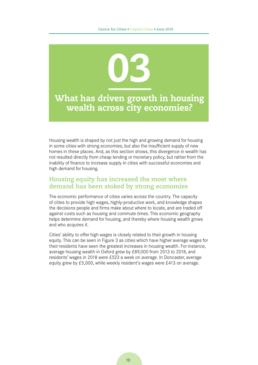

Housing wealth is shaped by not just the high and growing demand for housing in some cities with strong economies, but also the insufficient supply of new homes in these places. And, as this section shows, this divergence in wealth has not resulted directly from cheap lending or monetary policy, but rather from the inability of finance to increase supply in cities with successful economies and high demand for housing.

#### **Housing equity has increased the most where demand has been stoked by strong economies**

The economic performance of cities varies across the country. The capacity of cities to provide high wages, highly-productive work, and knowledge shapes the decisions people and firms make about where to locate, and are traded off against costs such as housing and commute times. This economic geography helps determine demand for housing, and thereby where housing wealth grows and who acquires it.

Cities' ability to offer high wages is closely related to their growth in housing equity. This can be seen in [Figure 3](#page-12-0) as cities which have higher average wages for their residents have seen the greatest increases in housing wealth. For instance, average housing wealth in Oxford grew by £89,000 from 2013 to 2018, and residents' wages in 2018 were £523 a week on average. In Doncaster, average equity grew by £5,000, while weekly resident's wages were £413 on average.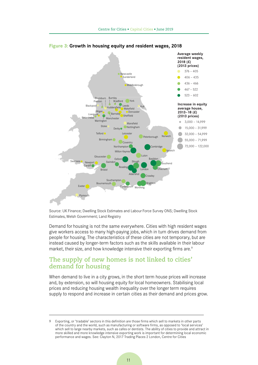

<span id="page-12-0"></span>**Figure 3: Growth in housing equity and resident wages, 2018**

Source: UK Finance; Dwelling Stock Estimates and Labour Force Survey ONS; Dwelling Stock Estimates, Welsh Government; Land Registry

Demand for housing is not the same everywhere. Cities with high resident wages give workers access to many high-paying jobs, which in turn drives demand from people for housing. The characteristics of these cities are not temporary, but are instead caused by longer-term factors such as the skills available in their labour market, their size, and how knowledge intensive their exporting firms are.<sup>9</sup>

#### **The supply of new homes is not linked to cities' demand for housing**

When demand to live in a city grows, in the short term house prices will increase and, by extension, so will housing equity for local homeowners. Stabilising local prices and reducing housing wealth inequality over the longer term requires supply to respond and increase in certain cities as their demand and prices grow.

Exporting, or 'tradable' sectors in this definition are those firms which sell to markets in other parts of the country and the world, such as manufacturing or software firms, as opposed to 'local services' which sell to large nearby markets, such as cafes or dentists. The ability of cities to provide and attract in more skilled and more knowledge intensive exporting work is important for determining local economic performance and wages. See: Clayton N, 2017 Trading Places 2 London, Centre for Cities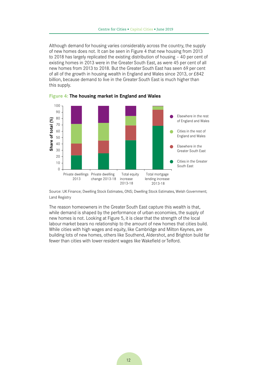Although demand for housing varies considerably across the country, the supply of new homes does not. It can be seen in [Figure 4](#page-13-0) that new housing from 2013 to 2018 has largely replicated the existing distribution of housing – 40 per cent of existing homes in 2013 were in the Greater South East, as were 45 per cent of all new homes from 2013 to 2018. But the Greater South East has seen 69 per cent of all of the growth in housing wealth in England and Wales since 2013, or £842 billion, because demand to live in the Greater South East is much higher than this supply.



<span id="page-13-0"></span>**Figure 4: The housing market in England and Wales**

Source: UK Finance; Dwelling Stock Estimates, ONS; Dwelling Stock Estimates, Welsh Government; Land Registry

The reason homeowners in the Greater South East capture this wealth is that, while demand is shaped by the performance of urban economies, the supply of new homes is not. Looking at [Figure 5](#page-14-0), it is clear that the strength of the local labour market bears no relationship to the amount of new homes that cities build. While cities with high wages and equity, like Cambridge and Milton Keynes, are building lots of new homes, others like Southend, Aldershot, and Brighton build far fewer than cities with lower resident wages like Wakefield or Telford.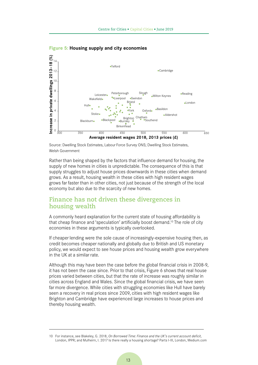

<span id="page-14-0"></span>**Figure 5: Housing supply and city economies**

Source: Dwelling Stock Estimates, Labour Force Survey ONS; Dwelling Stock Estimates, Welsh Government

Rather than being shaped by the factors that influence demand for housing, the supply of new homes in cities is unpredictable. The consequence of this is that supply struggles to adjust house prices downwards in these cities when demand grows. As a result, housing wealth in these cities with high resident wages grows far faster than in other cities, not just because of the strength of the local economy but also due to the scarcity of new homes.

#### **Finance has not driven these divergences in housing wealth**

A commonly heard explanation for the current state of housing affordability is that cheap finance and 'speculation' artificially boost demand.<sup>10</sup> The role of city economies in these arguments is typically overlooked.

If cheaper lending were the sole cause of increasingly-expensive housing then, as credit becomes cheaper nationally and globally due to British and US monetary policy, we would expect to see house prices and housing wealth grow everywhere in the UK at a similar rate.

Although this may have been the case before the global financial crisis in 2008-9, it has not been the case since. Prior to that crisis, Figure 6 shows that real house prices varied between cities, but that the rate of increase was roughly similar in cities across England and Wales. Since the global financial crisis, we have seen far more divergence. While cities with struggling economies like Hull have barely seen a recovery in real prices since 2009, cities with high resident wages like Brighton and Cambridge have experienced large increases to house prices and thereby housing wealth.

<sup>10</sup> For instance, see Blakeley, G. 2018, *On Borrowed Time: Finance and the UK's current account deficit*, London, IPPR; and Mulheirn, I. 2017 Is there really a housing shortage? Parts I-III, London, Medium.com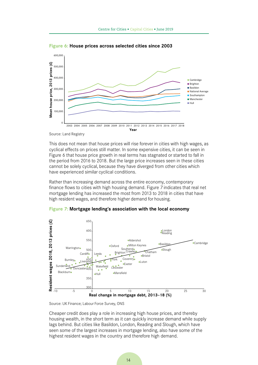

<span id="page-15-0"></span>**Figure 6: House prices across selected cities since 2003**

Source: Land Registry

This does not mean that house prices will rise forever in cities with high wages, as cyclical effects on prices still matter. In some expensive cities, it can be seen in [Figure 6](#page-15-0) that house price growth in real terms has stagnated or started to fall in the period from 2016 to 2018. But the large price increases seen in these cities cannot be solely cyclical, because they have diverged from other cities which have experienced similar cyclical conditions.

Rather than increasing demand across the entire economy, contemporary finance flows to cities with high housing demand. [Figure 7](#page-15-1) indicates that real net mortgage lending has increased the most from 2013 to 2018 in cities that have high resident wages, and therefore higher demand for housing.



<span id="page-15-1"></span>**Figure 7: Mortgage lending's association with the local economy**

Source: UK Finance; Labour Force Survey, ONS

Cheaper credit does play a role in increasing high house prices, and thereby housing wealth, in the short term as it can quickly increase demand while supply lags behind. But cities like Basildon, London, Reading and Slough, which have seen some of the largest increases in mortgage lending, also have some of the highest resident wages in the country and therefore high demand.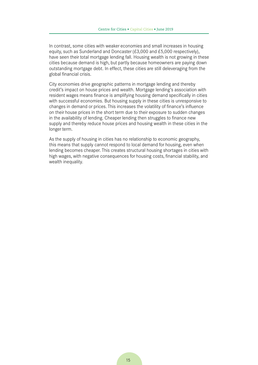In contrast, some cities with weaker economies and small increases in housing equity, such as Sunderland and Doncaster  $(E3,000$  and  $E5,000$  respectively), have seen their total mortgage lending fall. Housing wealth is not growing in these cities because demand is high, but partly because homeowners are paying down outstanding mortgage debt. In effect, these cities are still deleveraging from the global financial crisis.

City economies drive geographic patterns in mortgage lending and thereby credit's impact on house prices and wealth. Mortgage lending's association with resident wages means finance is amplifying housing demand specifically in cities with successful economies. But housing supply in these cities is unresponsive to changes in demand or prices. This increases the volatility of finance's influence on their house prices in the short term due to their exposure to sudden changes in the availability of lending. Cheaper lending then struggles to finance new supply and thereby reduce house prices and housing wealth in these cities in the longer term.

As the supply of housing in cities has no relationship to economic geography, this means that supply cannot respond to local demand for housing, even when lending becomes cheaper. This creates structural housing shortages in cities with high wages, with negative consequences for housing costs, financial stability, and wealth inequality.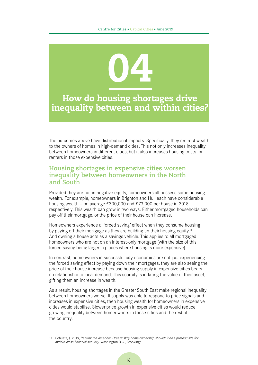

The outcomes above have distributional impacts. Specifically, they redirect wealth to the owners of homes in high-demand cities. This not only increases inequality between homeowners in different cities, but it also increases housing costs for renters in those expensive cities.

#### **Housing shortages in expensive cities worsen inequality between homeowners in the North and South**

Provided they are not in negative equity, homeowners all possess some housing wealth. For example, homeowners in Brighton and Hull each have considerable housing wealth – on average £300,000 and £73,000 per house in 2018 respectively. This wealth can grow in two ways. Either mortgaged households can pay off their mortgage, or the price of their house can increase.

Homeowners experience a 'forced saving' effect when they consume housing by paying off their mortgage as they are building up their housing equity.<sup>11</sup> And owning a house acts as a savings vehicle. This applies to all mortgaged homeowners who are not on an interest-only mortgage (with the size of this forced saving being larger in places where housing is more expensive).

In contrast, homeowners in successful city economies are not just experiencing the forced saving effect by paying down their mortgages, they are also seeing the price of their house increase because housing supply in expensive cities bears no relationship to local demand. This scarcity is inflating the value of their asset, gifting them an increase in wealth.

As a result, housing shortages in the Greater South East make regional inequality between homeowners worse. If supply was able to respond to price signals and increases in expensive cities, then housing wealth for homeowners in expensive cities would stabilise. Slower price growth in expensive cities would reduce growing inequality between homeowners in these cities and the rest of the country.

<sup>11</sup> Schuetz, J. 2019, *Renting the American Dream: Why home ownership shouldn't be a prerequisite for middle-class financial security,* Washington D.C*.*, Brookings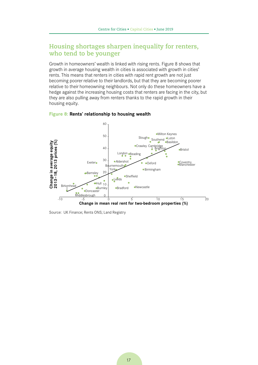### **Housing shortages sharpen inequality for renters, who tend to be younger**

Growth in homeowners' wealth is linked with rising rents. [Figure 8](#page-18-0) shows that growth in average housing wealth in cities is associated with growth in cities' rents. This means that renters in cities with rapid rent growth are not just becoming poorer relative to their landlords, but that they are becoming poorer relative to their homeowning neighbours. Not only do these homeowners have a hedge against the increasing housing costs that renters are facing in the city, but they are also pulling away from renters thanks to the rapid growth in their housing equity.



#### <span id="page-18-0"></span>**Figure 8: Rents' relationship to housing wealth**

Source: UK Finance; Rents ONS; Land Registry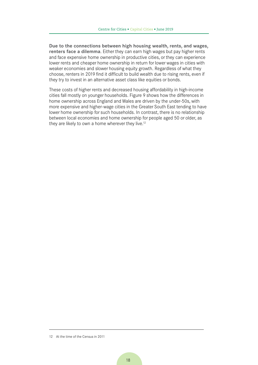**Due to the connections between high housing wealth, rents, and wages, renters face a dilemma**. Either they can earn high wages but pay higher rents and face expensive home ownership in productive cities, or they can experience lower rents and cheaper home ownership in return for lower wages in cities with weaker economies and slower housing equity growth. Regardless of what they choose, renters in 2019 find it difficult to build wealth due to rising rents, even if they try to invest in an alternative asset class like equities or bonds.

These costs of higher rents and decreased housing affordability in high-income cities fall mostly on younger households. [Figure 9](#page-20-0) shows how the differences in home ownership across England and Wales are driven by the under-50s, with more expensive and higher-wage cities in the Greater South East tending to have lower home ownership for such households. In contrast, there is no relationship between local economies and home ownership for people aged 50 or older, as they are likely to own a home wherever they live.<sup>12</sup>

<sup>12</sup> At the time of the Census in 2011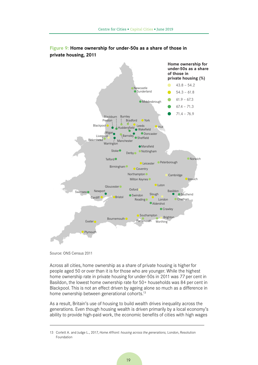

<span id="page-20-0"></span>**Figure 9: Home ownership for under-50s as a share of those in private housing, 2011**

Source: ONS Census 2011

Across all cities, home ownership as a share of private housing is higher for people aged 50 or over than it is for those who are younger. While the highest home ownership rate in private housing for under-50s in 2011 was 77 per cent in Basildon, the lowest home ownership rate for 50+ households was 84 per cent in Blackpool. This is not an effect driven by ageing alone so much as a difference in home ownership between generational cohorts.<sup>13</sup>

As a result, Britain's use of housing to build wealth drives inequality across the generations. Even though housing wealth is driven primarily by a local economy's ability to provide high-paid work, the economic benefits of cities with high wages

<sup>13</sup> Corlett A. and Judge L., 2017, *Home Affront: housing across the generations,* London, Resolution Foundation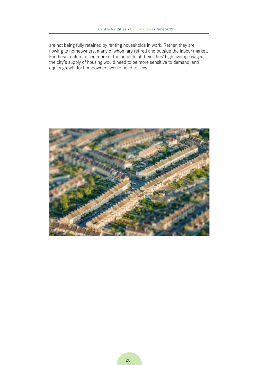are not being fully retained by renting households in work. Rather, they are flowing to homeowners, many of whom are retired and outside the labour market. For these renters to see more of the benefits of their cities' high average wages, the city's supply of housing would need to be more sensitive to demand, and equity growth for homeowners would need to slow.

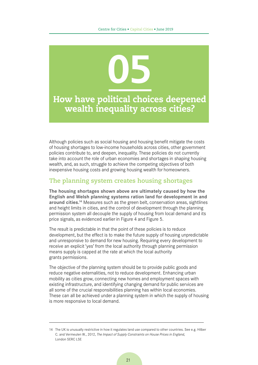

Although policies such as social housing and housing benefit mitigate the costs of housing shortages to low-income households across cities, other government policies contribute to, and deepen, inequality. These policies do not currently take into account the role of urban economies and shortages in shaping housing wealth, and, as such, struggle to achieve the competing objectives of both inexpensive housing costs and growing housing wealth for homeowners.

### **The planning system creates housing shortages**

**The housing shortages shown above are ultimately caused by how the English and Welsh planning systems ration land for development in and around cities.14** Measures such as the green belt, conservation areas, sightlines and height limits in cities, and the control of development through the planning permission system all decouple the supply of housing from local demand and its price signals, as evidenced earlier in [Figure 4](#page-13-0) and [Figure 5.](#page-14-0)

The result is predictable in that the point of these policies is to reduce development, but the effect is to make the future supply of housing unpredictable and unresponsive to demand for new housing. Requiring every development to receive an explicit 'yes' from the local authority through planning permission means supply is capped at the rate at which the local authority grants permissions.

The objective of the planning system should be to provide public goods and reduce negative externalities, not to reduce development. Enhancing urban mobility as cities grow, connecting new homes and employment spaces with existing infrastructure, and identifying changing demand for public services are all some of the crucial responsibilities planning has within local economies. These can all be achieved under a planning system in which the supply of housing is more responsive to local demand.

<sup>14</sup> The UK is unusually restrictive in how it regulates land use compared to other countries. See e.g. Hilber C. and Vermeulen W., 2012, *The Impact of Supply Constraints on House Prices in England*, London SERC LSE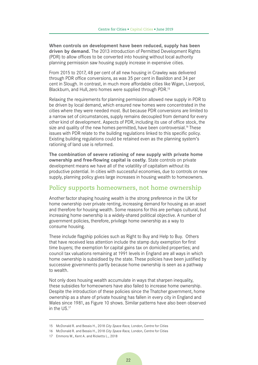**When controls on development have been reduced, supply has been driven by demand.** The 2013 introduction of Permitted Development Rights (PDR) to allow offices to be converted into housing without local authority planning permission saw housing supply increase in expensive cities.

From 2015 to 2017, 48 per cent of all new housing in Crawley was delivered through PDR office conversions, as was 35 per cent in Basildon and 34 per cent in Slough. In contrast, in much more affordable cities like Wigan, Liverpool, Blackburn, and Hull, zero homes were supplied through PDR.15

Relaxing the requirements for planning permission allowed new supply in PDR to be driven by local demand, which ensured new homes were concentrated in the cities where they were needed most. But because PDR conversions are limited to a narrow set of circumstances, supply remains decoupled from demand for every other kind of development. Aspects of PDR, including its use of office stock, the size and quality of the new homes permitted, have been controversial.<sup>16</sup> These issues with PDR relate to the building regulations linked to this specific policy. Existing building regulations could be retained even as the planning system's rationing of land use is reformed.

**The combination of severe rationing of new supply with private home ownership and free-flowing capital is costly.** State controls on private development means we have all of the volatility of capitalism without its productive potential. In cities with successful economies, due to controls on new supply, planning policy gives large increases in housing wealth to homeowners.

#### **Policy supports homeowners, not home ownership**

Another factor shaping housing wealth is the strong preference in the UK for home ownership over private renting, increasing demand for housing as an asset and therefore for housing wealth. Some reasons for this are perhaps cultural, but increasing home ownership is a widely-shared political objective. A number of government policies, therefore, privilege home ownership as a way to consume housing.

These include flagship policies such as Right to Buy and Help to Buy. Others that have received less attention include the stamp duty exemption for first time buyers; the exemption for capital gains tax on domiciled properties; and council tax valuations remaining at 1991 levels in England are all ways in which home ownership is subsidised by the state. These policies have been justified by successive governments partly because home ownership is seen as a pathway to wealth.

Not only does housing wealth accumulate in ways that sharpen inequality, these subsidies for homeowners have also failed to increase home ownership. Despite the introduction of these policies since the Thatcher government, home ownership as a share of private housing has fallen in every city in England and Wales since 1981, as [Figure 10](#page-24-0) shows. Similar patterns have also been observed in the US<sup>17</sup>

<sup>15</sup> McDonald R. and Bessis H., 2018 *City Space Race,* London, Centre for Cities

<sup>16</sup> McDonald R. and Bessis H., 2018 *City Space Race,* London, Centre for Cities

<sup>17</sup> Emmons W., Kent A. and Ricketts L., 2018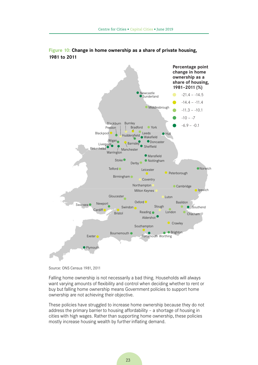

#### <span id="page-24-0"></span>**Figure 10: Change in home ownership as a share of private housing, 1981 to 2011**

Falling home ownership is not necessarily a bad thing. Households will always want varying amounts of flexibility and control when deciding whether to rent or buy but falling home ownership means Government policies to support home ownership are not achieving their objective.

These policies have struggled to increase home ownership because they do not address the primary barrier to housing affordability – a shortage of housing in cities with high wages. Rather than supporting home ownership, these policies mostly increase housing wealth by further inflating demand.

Source: ONS Census 1981, 2011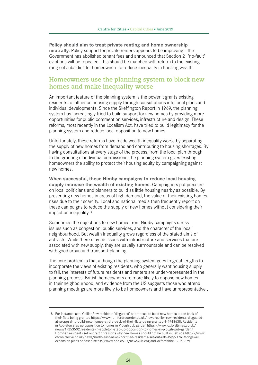**Policy should aim to treat private renting and home ownership neutrally.** Policy support for private renters appears to be improving - the Government has abolished tenant fees and announced that Section 21 'no-fault' evictions will be repealed. This should be matched with reform to the existing range of subsidies for homeowners to reduce inequality in housing wealth.

#### **Homeowners use the planning system to block new homes and make inequality worse**

An important feature of the planning system is the power it grants existing residents to influence housing supply through consultations into local plans and individual developments. Since the Skeffington Report in 1969, the planning system has increasingly tried to build support for new homes by providing more opportunities for public comment on services, infrastructure and design. These reforms, most recently in the Localism Act, have tried to build legitimacy for the planning system and reduce local opposition to new homes.

Unfortunately, these reforms have made wealth inequality worse by separating the supply of new homes from demand and contributing to housing shortages. By having consultations at every stage of the process, from the local plan through to the granting of individual permissions, the planning system gives existing homeowners the ability to protect their housing equity by campaigning against new homes.

**When successful, these Nimby campaigns to reduce local housing supply increase the wealth of existing homes.** Campaigners put pressure on local politicians and planners to build as little housing nearby as possible. By preventing new homes in areas of high demand, the value of their existing homes rises due to their scarcity. Local and national media then frequently report on these campaigns to reduce the supply of new homes without considering their impact on inequality.<sup>18</sup>

Sometimes the objections to new homes from Nimby campaigns stress issues such as congestion, public services, and the character of the local neighbourhood. But wealth inequality grows regardless of the stated aims of activists. While there may be issues with infrastructure and services that are associated with new supply, they are usually surmountable and can be resolved with good urban and transport planning.

The core problem is that although the planning system goes to great lengths to incorporate the views of existing residents, who generally want housing supply to fall, the interests of future residents and renters are under-represented in the planning process. British homeowners are more likely to oppose new homes in their neighbourhood, and evidence from the US suggests those who attend planning meetings are more likely to be homeowners and have unrepresentative ,

<sup>18</sup> For instance, see: Collier Row residents 'disgusted' at proposal to build new homes at the back of their flats being granted https://www.romfordrecorder.co.uk/news/collier-row-residents-disgustedat-proposal-to-build-new-homes-at-the-back-of-their-flats-being-granted-1-4948638; Residents in Appleton step up opposition to homes in Plough pub garden https://www.oxfordtimes.co.uk/ news/17253502.residents-in-appleton-step-up-opposition-to-homes-in-plough-pub-garden/ Horrified residents set out raft of reasons why new homes should not be built in Bebside https://www. chroniclelive.co.uk/news/north-east-news/horrified-residents-set-out-raft-15997176; Mongewell expansion plans opposed https://www.bbc.co.uk/news/uk-england-oxfordshire-19068879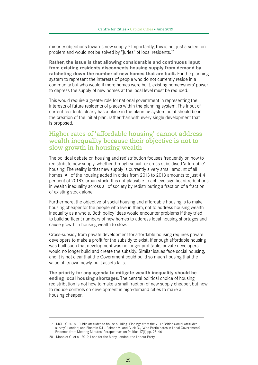minority objections towards new supply.<sup>19</sup> Importantly, this is not just a selection problem and would not be solved by "juries" of local residents.20

**Rather, the issue is that allowing considerable and continuous input from existing residents disconnects housing supply from demand by ratcheting down the number of new homes that are built.** For the planning system to represent the interests of people who do not currently reside in a community but who would if more homes were built, existing homeowners' power to depress the supply of new homes at the local level must be reduced.

This would require a greater role for national government in representing the interests of future residents of places within the planning system. The input of current residents clearly has a place in the planning system but it should be in the creation of the initial plan, rather than with every single development that is proposed.

#### **Higher rates of 'affordable housing' cannot address wealth inequality because their objective is not to slow growth in housing wealth**

The political debate on housing and redistribution focuses frequently on how to redistribute new supply, whether through social- or cross-subsidised 'affordable' housing. The reality is that new supply is currently a very small amount of all homes. All of the housing added in cities from 2013 to 2018 amounts to just 4.4 per cent of 2018's urban stock. It is not plausible to achieve significant reductions in wealth inequality across all of society by redistributing a fraction of a fraction of existing stock alone.

Furthermore, the objective of social housing and affordable housing is to make housing cheaper for the people who live in them, not to address housing wealth inequality as a whole. Both policy ideas would encounter problems if they tried to build sufficent numbers of new homes to address local housing shortages and cause growth in housing wealth to slow.

Cross-subsidy from private development for affordable housing requires private developers to make a profit for the subsidy to exist. If enough affordable housing was built such that development was no longer profitable, private developers would no longer build and create the subsidy. Similar issues face social housing, and it is not clear that the Government could build so much housing that the value of its own newly-built assets falls.

**The priority for any agenda to mitigate wealth inequality should be ending local housing shortages.** The central political choice of housing redistribution is not how to make a small fraction of new supply cheaper, but how to reduce controls on development in high-demand cities to make all housing cheaper.

<sup>19</sup> MCHLG 2018, 'Public attitudes to house building: Findings from the 2017 British Social Attitudes survey', London; and Einstein K.L., Palmer M. and Glick D., 'Who Participates in Local Government? Evidence from Meeting Minutes' Perspectives on Politics 17(1) pp. 28-46

<sup>20</sup> Monbiot G. et al, 2019, Land for the Many London, the Labour Party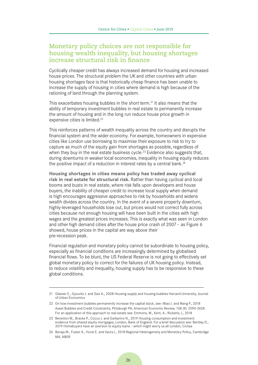#### **Monetary policy choices are not responsible for housing wealth inequality, but housing shortages increase structural risk in finance**

Cyclically cheaper credit has always increased demand for housing and increased house prices. The structural problem the UK and other countries with urban housing shortages face is that historically cheap finance has been unable to increase the supply of housing in cities where demand is high because of the rationing of land through the planning system.

This exacerbates housing bubbles in the short term.<sup>21</sup> It also means that the ability of temporary investment bubbles in real estate to permanently increase the amount of housing and in the long run reduce house price growth in expensive cities is limited.<sup>22</sup>

This reinforces patterns of wealth inequality across the country and disrupts the financial system and the wider economy. For example, homeowners in expensive cities like London use borrowing to maximise their exposure to risk to try to capture as much of the equity gain from shortages as possible, regardless of when they buy in the real estate business cycle.<sup>23</sup> Evidence also suggests that, during downturns in weaker local economies, inequality in housing equity reduces the positive impact of a reduction in interest rates by a central bank.<sup>24</sup>

**Housing shortages in cities means policy has traded away cyclical risk in real estate for structural risk.** Rather than having cyclical and local booms and busts in real estate, where risk falls upon developers and house buyers, the inability of cheaper credit to increase local supply when demand is high encourages aggressive approaches to risk by households and widens wealth divides across the country. In the event of a severe property downturn, highly-leveraged households lose out, but prices would not correct fully across cities because not enough housing will have been built in the cities with high wages and the greatest prices increases. This is exactly what was seen in London and other high demand cities after the house price crash of 2007 – as Figure 6 showed, house prices in the capital are way above their pre-recession peak.

Financial regulation and monetary policy cannot be subordinate to housing policy, especially as financial conditions are increasingly determined by globalised financial flows. To be blunt, the US Federal Reserve is not going to effectively set global monetary policy to correct for the failures of UK housing policy. Instead, to reduce volatility and inequality, housing supply has to be responsive to these global conditions.

<sup>21</sup> Glaeser E., Gyourko J. and Saiz A., 2008 Housing supply and housing bubbles Harvard University, Journal of Urban Economics

<sup>22</sup> On how investment bubbles permanently increase the capital stock, see: Miao J. and Wang P., 2018 Asset Bubbles and Credit Constraints, Pittsburgh PA, American Economic Review, 108 (9): 2590-2628. For an application of this approach to real estate see: Emmons, W., Kent, A., Ricketts, L, 2018

<sup>23</sup> Benetton M., Bracke P., Cocco J. and Garbarino N., 2019 Housing consumption and investment: evidence from shared equity mortgages, London, Bank of England. For a brief discussion see: Bentley D., 2019 Homebuyers have an aversion to equity loans – which might worry us all London, Civitas

<sup>24</sup> Beraja M., Fuster A., Hurst E. and Vavra J., 2018 Regional Heterogeneity and Monetary Policy, Cambridge MA, NBER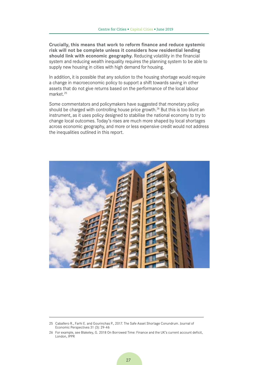**Crucially, this means that work to reform finance and reduce systemic risk will not be complete unless it considers how residential lending should link with economic geography.** Reducing volatility in the financial system and reducing wealth inequality requires the planning system to be able to supply new housing in cities with high demand for housing.

In addition, it is possible that any solution to the housing shortage would require a change in macroeconomic policy to support a shift towards saving in other assets that do not give returns based on the performance of the local labour market<sup>25</sup>

Some commentators and policymakers have suggested that monetary policy should be charged with controlling house price growth.<sup>26</sup> But this is too blunt an instrument, as it uses policy designed to stabilise the national economy to try to change local outcomes. Today's rises are much more shaped by local shortages across economic geography, and more or less expensive credit would not address the inequalities outlined in this report.



<sup>25</sup> Caballero R., Farhi E. and Gourinchas P., 2017. The Safe Asset Shortage Conundrum. Journal of Economic Perspectives 31 (3): 29-46

<sup>26</sup> For example, see Blakeley, G. 2018 On Borrowed Time: Finance and the UK's current account deficit, London, IPPR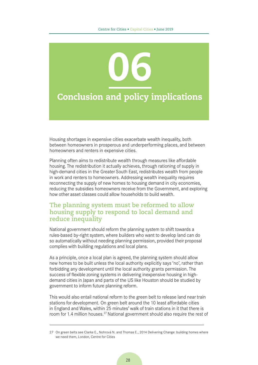

Housing shortages in expensive cities exacerbate wealth inequality, both between homeowners in prosperous and underperforming places, and between homeowners and renters in expensive cities.

Planning often aims to redistribute wealth through measures like affordable housing. The redistribution it actually achieves, through rationing of supply in high-demand cities in the Greater South East, redistributes wealth from people in work and renters to homeowners. Addressing wealth inequality requires reconnecting the supply of new homes to housing demand in city economies. reducing the subsidies homeowners receive from the Government, and exploring how other asset classes could allow households to build wealth.

#### **The planning system must be reformed to allow housing supply to respond to local demand and reduce inequality**

National government should reform the planning system to shift towards a rules-based by-right system, where builders who want to develop land can do so automatically without needing planning permission, provided their proposal complies with building regulations and local plans.

As a principle, once a local plan is agreed, the planning system should allow new homes to be built unless the local authority explicitly says 'no', rather than forbidding any development until the local authority grants permission. The success of flexible zoning systems in delivering inexpensive housing in highdemand cities in Japan and parts of the US like Houston should be studied by government to inform future planning reform.

This would also entail national reform to the green belt to release land near train stations for development. On green belt around the 10 least affordable cities in England and Wales, within 25 minutes' walk of train stations in it that there is room for 1.4 million houses.<sup>27</sup> National government should also require the rest of

<sup>27</sup> On green belts see Clarke E., Nohrová N. and Thomas E., 2014 Delivering Change: building homes where we need them, London, Centre for Cities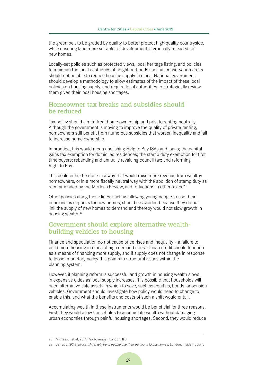the green belt to be graded by quality to better protect high-quality countryside, while ensuring land more suitable for development is gradually released for new homes.

Locally-set policies such as protected views, local heritage listing, and policies to maintain the local aesthetics of neighbourhoods such as conservation areas should not be able to reduce housing supply in cities. National government should develop a methodology to allow estimates of the impact of these local policies on housing supply, and require local authorities to strategically review them given their local housing shortages.

#### **Homeowner tax breaks and subsidies should be reduced**

Tax policy should aim to treat home ownership and private renting neutrally. Although the government is moving to improve the quality of private renting, homeowners still benefit from numerous subsidies that worsen inequality and fail to increase home ownership.

In practice, this would mean abolishing Help to Buy ISAs and loans; the capital gains tax exemption for domiciled residences; the stamp duty exemption for first time buyers; rebanding and annually revaluing council tax; and reforming Right to Buy.

This could either be done in a way that would raise more revenue from wealthy homeowners, or in a more fiscally neutral way with the abolition of stamp duty as recommended by the Mirrlees Review, and reductions in other taxes.28

Other policies along these lines, such as allowing young people to use their pensions as deposits for new homes, should be avoided because they do not link the supply of new homes to demand and thereby would not slow growth in housing wealth.29

#### **Government should explore alternative wealthbuilding vehicles to housing**

Finance and speculation do not cause price rises and inequality - a failure to build more housing in cities of high demand does. Cheap credit should function as a means of financing more supply, and if supply does not change in response to looser monetary policy this points to structural issues within the planning system.

However, if planning reform is successful and growth in housing wealth slows in expensive cities as local supply increases, it is possible that households will need alternative safe assets in which to save, such as equities, bonds, or pension vehicles. Government should investigate how policy would need to change to enable this, and what the benefits and costs of such a shift would entail.

Accumulating wealth in these instruments would be beneficial for three reasons. First, they would allow households to accumulate wealth without damaging urban economies through painful housing shortages. Second, they would reduce

<sup>28</sup> Mirrlees J. et al, 2011, *Tax by design*, London, IFS

<sup>29</sup> Barrat L.,2019, *Brokenshire: let young people use their pensions to buy homes,* London, Inside Housing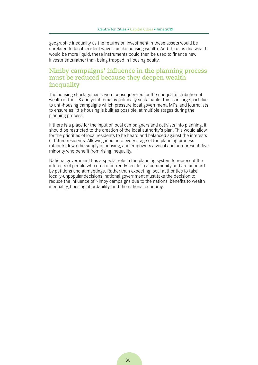geographic inequality as the returns on investment in these assets would be unrelated to local resident wages, unlike housing wealth. And third, as this wealth would be more liquid, these instruments could then be used to finance new investments rather than being trapped in housing equity.

#### **Nimby campaigns' influence in the planning process must be reduced because they deepen wealth inequality**

The housing shortage has severe consequences for the unequal distribution of wealth in the UK and yet it remains politically sustainable. This is in large part due to anti-housing campaigns which pressure local government, MPs, and journalists to ensure as little housing is built as possible, at multiple stages during the planning process.

If there is a place for the input of local campaigners and activists into planning, it should be restricted to the creation of the local authority's plan. This would allow for the priorities of local residents to be heard and balanced against the interests of future residents. Allowing input into every stage of the planning process ratchets down the supply of housing, and empowers a vocal and unrepresentative minority who benefit from rising inequality.

National government has a special role in the planning system to represent the interests of people who do not currently reside in a community and are unheard by petitions and at meetings. Rather than expecting local authorities to take locally-unpopular decisions, national government must take the decision to reduce the influence of Nimby campaigns due to the national benefits to wealth inequality, housing affordability, and the national economy.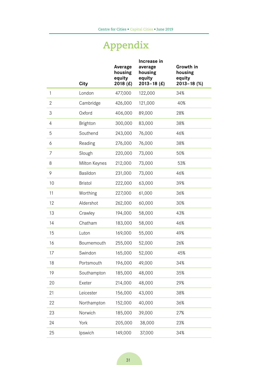# **Appendix**

|              | <b>City</b>     | Average<br>housing<br>equity<br>2018 $(E)$ | Increase in<br>average<br>housing<br>equity<br>$2013 - 18$ (£) | Growth in<br>housing<br>equity<br>$2013 - 18$ (%) |
|--------------|-----------------|--------------------------------------------|----------------------------------------------------------------|---------------------------------------------------|
| $\mathbf{1}$ | London          | 477,000                                    | 122,000                                                        | 34%                                               |
| $\mathbf{2}$ | Cambridge       | 426,000                                    | 121,000                                                        | 40%                                               |
| 3            | Oxford          | 406,000                                    | 89,000                                                         | 28%                                               |
| 4            | <b>Brighton</b> | 300,000                                    | 83,000                                                         | 38%                                               |
| 5            | Southend        | 243,000                                    | 76,000                                                         | 46%                                               |
| 6            | Reading         | 276,000                                    | 76,000                                                         | 38%                                               |
| 7            | Slough          | 220,000                                    | 73,000                                                         | 50%                                               |
| 8            | Milton Keynes   | 212,000                                    | 73,000                                                         | 53%                                               |
| 9            | Basildon        | 231,000                                    | 73,000                                                         | 46%                                               |
| 10           | <b>Bristol</b>  | 222,000                                    | 63,000                                                         | 39%                                               |
| 11           | Worthing        | 227,000                                    | 61,000                                                         | 36%                                               |
| 12           | Aldershot       | 262,000                                    | 60,000                                                         | 30%                                               |
| 13           | Crawley         | 194,000                                    | 58,000                                                         | 43%                                               |
| 14           | Chatham         | 183,000                                    | 58,000                                                         | 46%                                               |
| 15           | Luton           | 169,000                                    | 55,000                                                         | 49%                                               |
| 16           | Bournemouth     | 255,000                                    | 52,000                                                         | 26%                                               |
| 17           | Swindon         | 165,000                                    | 52,000                                                         | 45%                                               |
| 18           | Portsmouth      | 196,000                                    | 49,000                                                         | 34%                                               |
| 19           | Southampton     | 185,000                                    | 48,000                                                         | 35%                                               |
| 20           | Exeter          | 214,000                                    | 48,000                                                         | 29%                                               |
| 21           | Leicester       | 156,000                                    | 43,000                                                         | 38%                                               |
| 22           | Northampton     | 152,000                                    | 40,000                                                         | 36%                                               |
| 23           | Norwich         | 185,000                                    | 39,000                                                         | 27%                                               |
| 24           | York            | 205,000                                    | 38,000                                                         | 23%                                               |
| 25           | Ipswich         | 149,000                                    | 37,000                                                         | 34%                                               |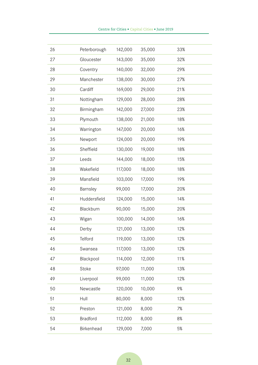| 26 | Peterborough    | 142,000 | 35,000 | 33% |
|----|-----------------|---------|--------|-----|
| 27 | Gloucester      | 143,000 | 35,000 | 32% |
| 28 | Coventry        | 140,000 | 32,000 | 29% |
| 29 | Manchester      | 138,000 | 30,000 | 27% |
| 30 | Cardiff         | 169,000 | 29,000 | 21% |
| 31 | Nottingham      | 129,000 | 28,000 | 28% |
| 32 | Birmingham      | 142,000 | 27,000 | 23% |
| 33 | Plymouth        | 138,000 | 21,000 | 18% |
| 34 | Warrington      | 147,000 | 20,000 | 16% |
| 35 | Newport         | 124,000 | 20,000 | 19% |
| 36 | Sheffield       | 130,000 | 19,000 | 18% |
| 37 | Leeds           | 144,000 | 18,000 | 15% |
| 38 | Wakefield       | 117,000 | 18,000 | 18% |
| 39 | Mansfield       | 103,000 | 17,000 | 19% |
| 40 | Barnsley        | 99,000  | 17,000 | 20% |
| 41 | Huddersfield    | 124,000 | 15,000 | 14% |
| 42 | Blackburn       | 90,000  | 15,000 | 20% |
| 43 | Wigan           | 100,000 | 14,000 | 16% |
| 44 | Derby           | 121,000 | 13,000 | 12% |
| 45 | Telford         | 119,000 | 13,000 | 12% |
| 46 | Swansea         | 117,000 | 13,000 | 12% |
| 47 | Blackpool       | 114,000 | 12,000 | 11% |
| 48 | Stoke           | 97,000  | 11,000 | 13% |
| 49 | Liverpool       | 99,000  | 11,000 | 12% |
| 50 | Newcastle       | 120,000 | 10,000 | 9%  |
| 51 | Hull            | 80,000  | 8,000  | 12% |
| 52 | Preston         | 121,000 | 8,000  | 7%  |
| 53 | <b>Bradford</b> | 112,000 | 8,000  | 8%  |

Birkenhead 129,000 7,000 5%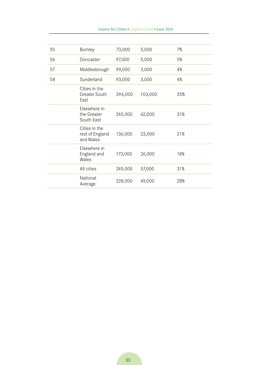| 55 | <b>Burnley</b>                                | 73,000  | 5,000   | 7%  |
|----|-----------------------------------------------|---------|---------|-----|
| 56 | Doncaster                                     | 97,000  | 5,000   | 5%  |
| 57 | Middlesbrough                                 | 99,000  | 3,000   | 4%  |
| 58 | Sunderland                                    | 93,000  | 3,000   | 4%  |
|    | Cities in the<br><b>Greater South</b><br>East | 396,000 | 103,000 | 35% |
|    | Elsewhere in<br>the Greater<br>South East     | 265,000 | 62,000  | 31% |
|    | Cities in the<br>rest of England<br>and Wales | 136,000 | 23,000  | 21% |
|    | Elsewhere in<br>England and<br>Wales          | 173,000 | 26,000  | 18% |
|    | All cities                                    | 245,000 | 57,000  | 31% |
|    | National<br>Average                           | 228,000 | 49,000  | 28% |